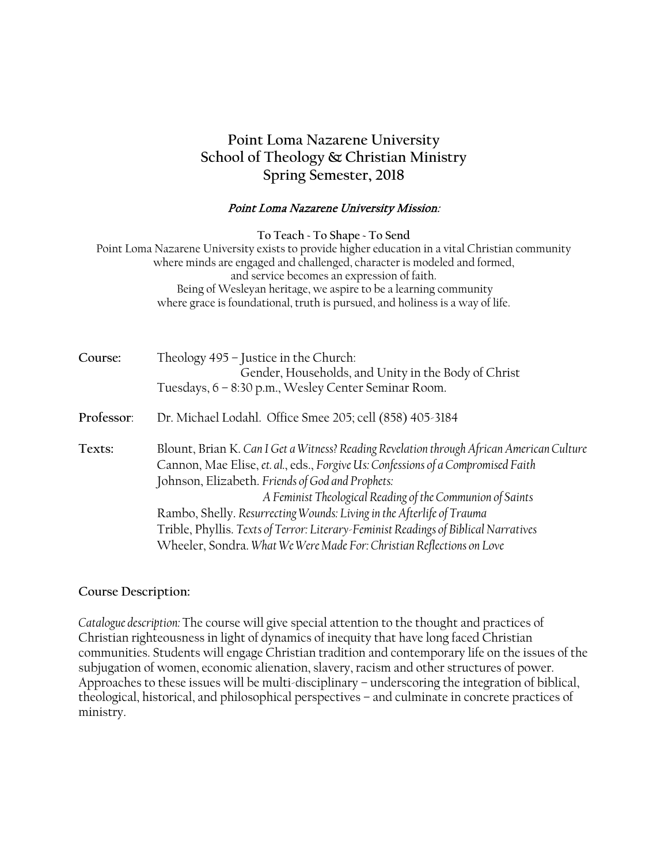# **Point Loma Nazarene University School of Theology & Christian Ministry Spring Semester, 2018**

#### Point Loma Nazarene University Mission:

**To Teach ~ To Shape ~ To Send**

Point Loma Nazarene University exists to provide higher education in a vital Christian community where minds are engaged and challenged, character is modeled and formed, and service becomes an expression of faith. Being of Wesleyan heritage, we aspire to be a learning community where grace is foundational, truth is pursued, and holiness is a way of life.

| Course:    | Theology 495 - Justice in the Church:<br>Gender, Households, and Unity in the Body of Christ<br>Tuesdays, 6 - 8:30 p.m., Wesley Center Seminar Room.                                                                                                                                                                                                                                                                                                                                                                                    |
|------------|-----------------------------------------------------------------------------------------------------------------------------------------------------------------------------------------------------------------------------------------------------------------------------------------------------------------------------------------------------------------------------------------------------------------------------------------------------------------------------------------------------------------------------------------|
| Professor: | Dr. Michael Lodahl. Office Smee 205; cell (858) 405-3184                                                                                                                                                                                                                                                                                                                                                                                                                                                                                |
| Texts:     | Blount, Brian K. Can I Get a Witness? Reading Revelation through African American Culture<br>Cannon, Mae Elise, et. al., eds., Forgive Us: Confessions of a Compromised Faith<br>Johnson, Elizabeth. Friends of God and Prophets:<br>A Feminist Theological Reading of the Communion of Saints<br>Rambo, Shelly. Resurrecting Wounds: Living in the Afterlife of Trauma<br>Trible, Phyllis. Texts of Terror: Literary-Feminist Readings of Biblical Narratives<br>Wheeler, Sondra. What We Were Made For: Christian Reflections on Love |

**Course Description:**

*Catalogue description:* The course will give special attention to the thought and practices of Christian righteousness in light of dynamics of inequity that have long faced Christian communities. Students will engage Christian tradition and contemporary life on the issues of the subjugation of women, economic alienation, slavery, racism and other structures of power. Approaches to these issues will be multi-disciplinary – underscoring the integration of biblical, theological, historical, and philosophical perspectives – and culminate in concrete practices of ministry.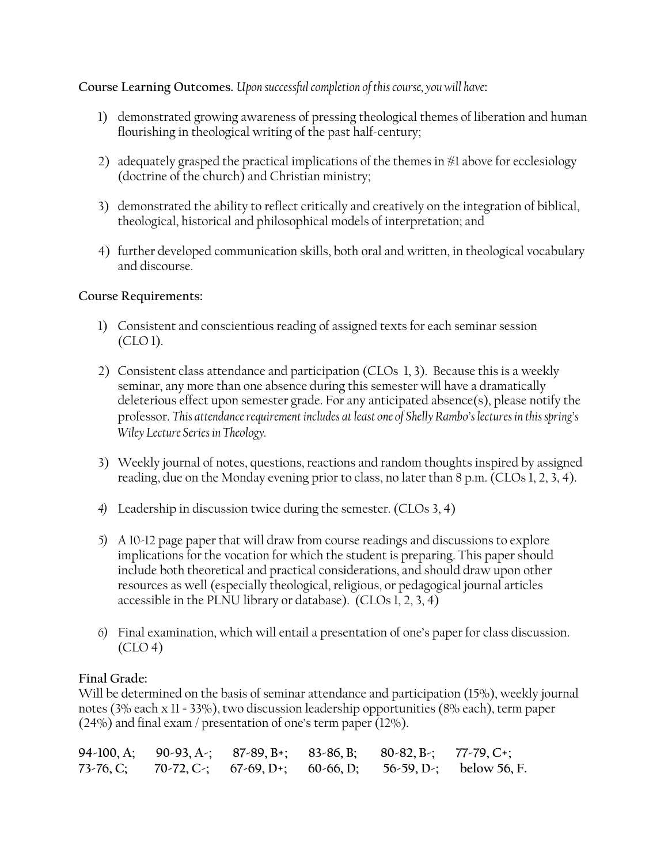### **Course Learning Outcomes.** *Upon successful completion of this course, you will have***:**

- 1) demonstrated growing awareness of pressing theological themes of liberation and human flourishing in theological writing of the past half-century;
- 2) adequately grasped the practical implications of the themes in #1 above for ecclesiology (doctrine of the church) and Christian ministry;
- 3) demonstrated the ability to reflect critically and creatively on the integration of biblical, theological, historical and philosophical models of interpretation; and
- 4) further developed communication skills, both oral and written, in theological vocabulary and discourse.

#### **Course Requirements:**

- 1) Consistent and conscientious reading of assigned texts for each seminar session (CLO 1).
- 2) Consistent class attendance and participation (CLOs 1, 3). Because this is a weekly seminar, any more than one absence during this semester will have a dramatically deleterious effect upon semester grade. For any anticipated absence(s), please notify the professor. *This attendance requirement includes at least one of Shelly Rambo's lectures in this spring's Wiley Lecture Series in Theology.*
- 3) Weekly journal of notes, questions, reactions and random thoughts inspired by assigned reading, due on the Monday evening prior to class, no later than 8 p.m. (CLOs 1, 2, 3, 4).
- *4)* Leadership in discussion twice during the semester. (CLOs 3, 4)
- *5)* A 10-12 page paper that will draw from course readings and discussions to explore implications for the vocation for which the student is preparing. This paper should include both theoretical and practical considerations, and should draw upon other resources as well (especially theological, religious, or pedagogical journal articles accessible in the PLNU library or database). (CLOs 1, 2, 3, 4)
- *6)* Final examination, which will entail a presentation of one's paper for class discussion.  $(CLO<sub>4</sub>)$

## **Final Grade:**

Will be determined on the basis of seminar attendance and participation (15%), weekly journal notes (3% each x 11 = 33%), two discussion leadership opportunities (8% each), term paper (24%) and final exam / presentation of one's term paper (12%).

|  |  | 94-100, A; 90-93, A-; 87-89, B+; 83-86, B; 80-82, B-; 77-79, C+; |                                                                   |
|--|--|------------------------------------------------------------------|-------------------------------------------------------------------|
|  |  |                                                                  | 73-76, C; 70-72, C-; 67-69, D+; 60-66, D; 56-59, D-; below 56, F. |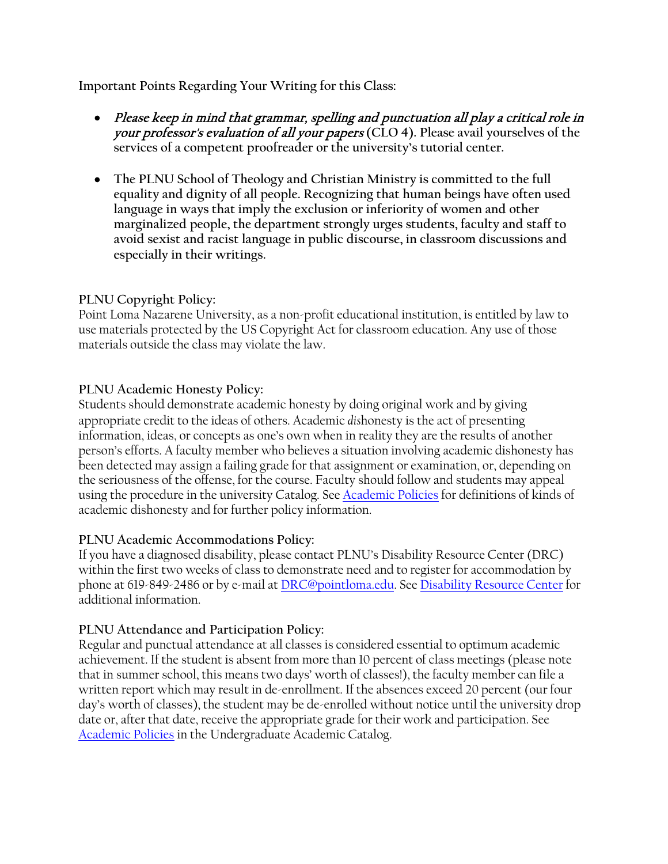**Important Points Regarding Your Writing for this Class:**

- Please keep in mind that grammar, spelling and punctuation all play a critical role in your professor's evaluation of all your papers **(CLO 4). Please avail yourselves of the services of a competent proofreader or the university's tutorial center.**
- **The PLNU School of Theology and Christian Ministry is committed to the full equality and dignity of all people. Recognizing that human beings have often used language in ways that imply the exclusion or inferiority of women and other marginalized people, the department strongly urges students, faculty and staff to avoid sexist and racist language in public discourse, in classroom discussions and especially in their writings.**

## **PLNU Copyright Policy:**

Point Loma Nazarene University, as a non-profit educational institution, is entitled by law to use materials protected by the US Copyright Act for classroom education. Any use of those materials outside the class may violate the law.

## **PLNU Academic Honesty Policy:**

Students should demonstrate academic honesty by doing original work and by giving appropriate credit to the ideas of others. Academic *dis*honesty is the act of presenting information, ideas, or concepts as one's own when in reality they are the results of another person's efforts. A faculty member who believes a situation involving academic dishonesty has been detected may assign a failing grade for that assignment or examination, or, depending on the seriousness of the offense, for the course. Faculty should follow and students may appeal using the procedure in the university Catalog. See [Academic Policies](http://catalog.pointloma.edu/content.php?catoid=18&navoid=1278) for definitions of kinds of academic dishonesty and for further policy information.

## **PLNU Academic Accommodations Policy:**

If you have a diagnosed disability, please contact PLNU's Disability Resource Center (DRC) within the first two weeks of class to demonstrate need and to register for accommodation by phone at 619-849-2486 or by e-mail a[t DRC@pointloma.edu.](mailto:DRC@pointloma.edu) See [Disability Resource Center](http://www.pointloma.edu/experience/offices/administrative-offices/academic-advising-office/disability-resource-center) for additional information.

## **PLNU Attendance and Participation Policy:**

Regular and punctual attendance at all classes is considered essential to optimum academic achievement. If the student is absent from more than 10 percent of class meetings (please note that in summer school, this means two days' worth of classes!), the faculty member can file a written report which may result in de-enrollment. If the absences exceed 20 percent (our four day's worth of classes), the student may be de-enrolled without notice until the university drop date or, after that date, receive the appropriate grade for their work and participation. See [Academic Policies](http://catalog.pointloma.edu/content.php?catoid=18&navoid=1278) in the Undergraduate Academic Catalog.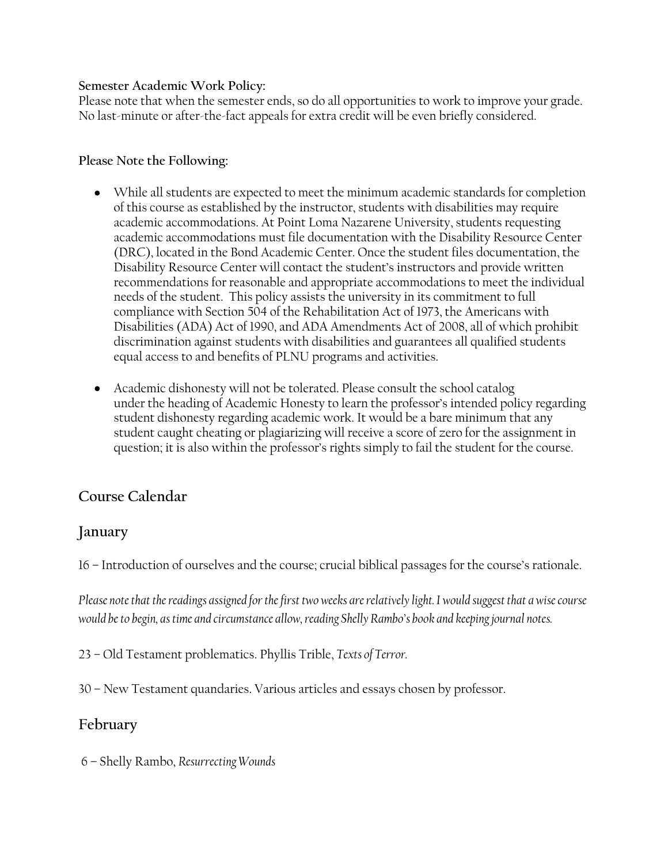#### **Semester Academic Work Policy:**

Please note that when the semester ends, so do all opportunities to work to improve your grade. No last-minute or after-the-fact appeals for extra credit will be even briefly considered.

#### **Please Note the Following:**

- While all students are expected to meet the minimum academic standards for completion of this course as established by the instructor, students with disabilities may require academic accommodations. At Point Loma Nazarene University, students requesting academic accommodations must file documentation with the Disability Resource Center (DRC), located in the Bond Academic Center. Once the student files documentation, the Disability Resource Center will contact the student's instructors and provide written recommendations for reasonable and appropriate accommodations to meet the individual needs of the student. This policy assists the university in its commitment to full compliance with Section 504 of the Rehabilitation Act of 1973, the Americans with Disabilities (ADA) Act of 1990, and ADA Amendments Act of 2008, all of which prohibit discrimination against students with disabilities and guarantees all qualified students equal access to and benefits of PLNU programs and activities.
- Academic dishonesty will not be tolerated. Please consult the school catalog under the heading of Academic Honesty to learn the professor's intended policy regarding student dishonesty regarding academic work. It would be a bare minimum that any student caught cheating or plagiarizing will receive a score of zero for the assignment in question; it is also within the professor's rights simply to fail the student for the course.

## **Course Calendar**

## **January**

16 – Introduction of ourselves and the course; crucial biblical passages for the course's rationale.

*Please note that the readings assigned for the first two weeks are relatively light. I would suggest that a wise course would be to begin, as time and circumstance allow, reading Shelly Rambo's book and keeping journal notes.*

23 – Old Testament problematics. Phyllis Trible, *Texts of Terror.*

30 – New Testament quandaries. Various articles and essays chosen by professor.

## **February**

6 – Shelly Rambo, *Resurrecting Wounds*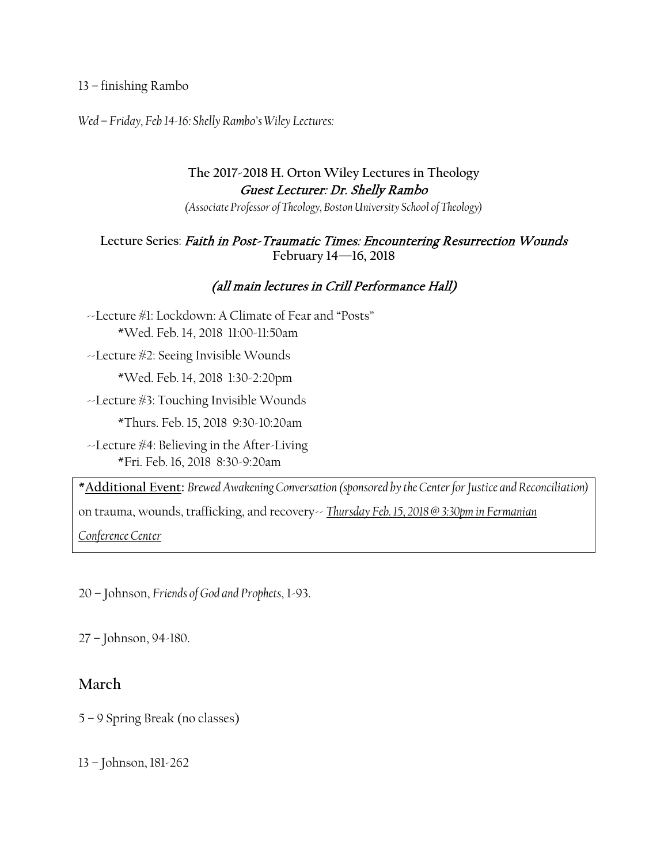#### 13 – finishing Rambo

*Wed – Friday, Feb 14-16: Shelly Rambo's Wiley Lectures:*

## **The 2017-2018 H. Orton Wiley Lectures in Theology**  Guest Lecturer: Dr. Shelly Rambo

*(Associate Professor of Theology, Boston University School of Theology)*

#### **Lecture Series**: Faith in Post-Traumatic Times: Encountering Resurrection Wounds **February 14—16, 2018**

## (all main lectures in Crill Performance Hall)

 --Lecture #1: Lockdown: A Climate of Fear and "Posts" \*Wed. Feb. 14, 2018 11:00-11:50am

--Lecture #2: Seeing Invisible Wounds

\*Wed. Feb. 14, 2018 1:30-2:20pm

--Lecture #3: Touching Invisible Wounds

\*Thurs. Feb. 15, 2018 9:30-10:20am

 $\sim$ Lecture  $\#4$ : Believing in the After-Living \*Fri. Feb. 16, 2018 8:30-9:20am

**\*Additional Event:** *Brewed Awakening Conversation (sponsored by the Center for Justice and Reconciliation)*  on trauma, wounds, trafficking, and recovery-- *Thursday Feb. 15, 2018 @ 3:30pm in Fermanian Conference Center*

20 – Johnson, *Friends of God and Prophets*, 1-93.

27 – Johnson, 94-180.

## **March**

5 – 9 Spring Break (no classes)

13 – Johnson, 181-262